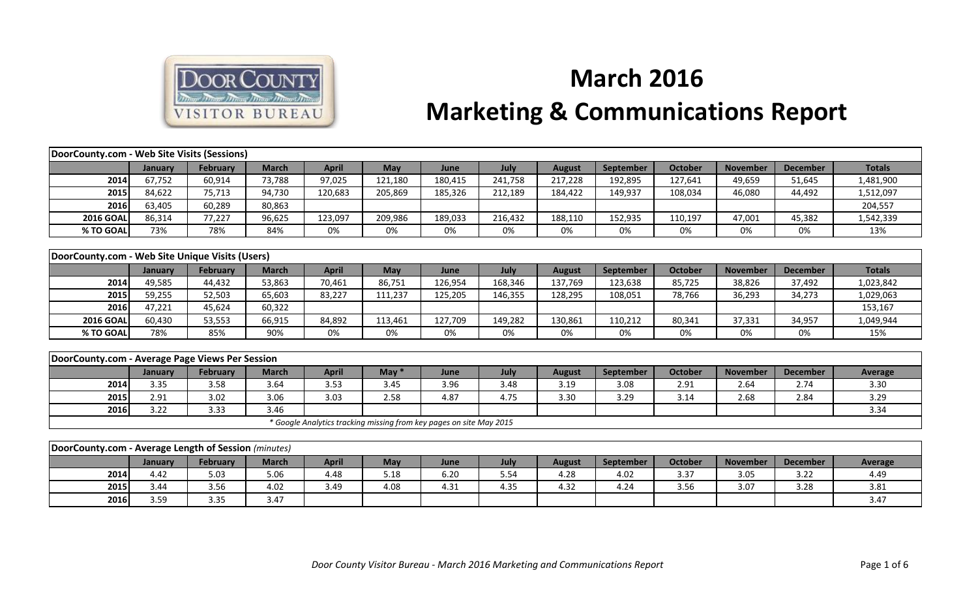

## **March 2016 Marketing & Communications Report**

| DoorCounty.com - Web Site Visits (Sessions)          |         |                 |              |              |         |                                                                     |         |               |                  |                |                 |                 |               |
|------------------------------------------------------|---------|-----------------|--------------|--------------|---------|---------------------------------------------------------------------|---------|---------------|------------------|----------------|-----------------|-----------------|---------------|
|                                                      | January | February        | <b>March</b> | <b>April</b> | May     | June                                                                | July    | <b>August</b> | September        | <b>October</b> | <b>November</b> | <b>December</b> | <b>Totals</b> |
| 2014                                                 | 67,752  | 60,914          | 73,788       | 97,025       | 121,180 | 180,415                                                             | 241,758 | 217,228       | 192,895          | 127,641        | 49,659          | 51,645          | 1,481,900     |
| 2015                                                 | 84,622  | 75,713          | 94,730       | 120,683      | 205,869 | 185,326                                                             | 212,189 | 184,422       | 149,937          | 108,034        | 46,080          | 44,492          | 1,512,097     |
| 2016                                                 | 63,405  | 60,289          | 80,863       |              |         |                                                                     |         |               |                  |                |                 |                 | 204,557       |
| <b>2016 GOAL</b>                                     | 86,314  | 77,227          | 96,625       | 123,097      | 209,986 | 189,033                                                             | 216,432 | 188,110       | 152,935          | 110,197        | 47,001          | 45,382          | 1,542,339     |
| % TO GOAL                                            | 73%     | 78%             | 84%          | 0%           | 0%      | 0%                                                                  | 0%      | 0%            | 0%               | 0%             | 0%              | 0%              | 13%           |
|                                                      |         |                 |              |              |         |                                                                     |         |               |                  |                |                 |                 |               |
| DoorCounty.com - Web Site Unique Visits (Users)      |         |                 |              |              |         |                                                                     |         |               |                  |                |                 |                 |               |
|                                                      | January | <b>February</b> | <b>March</b> | <b>April</b> | May     | June                                                                | July    | <b>August</b> | September        | <b>October</b> | <b>November</b> | <b>December</b> | <b>Totals</b> |
| 2014                                                 | 49,585  | 44,432          | 53,863       | 70,461       | 86,751  | 126,954                                                             | 168,346 | 137,769       | 123,638          | 85,725         | 38,826          | 37,492          | 1,023,842     |
| 2015                                                 | 59,255  | 52,503          | 65,603       | 83,227       | 111,237 | 125,205                                                             | 146,355 | 128,295       | 108,051          | 78,766         | 36,293          | 34,273          | 1,029,063     |
| 2016                                                 | 47,221  | 45,624          | 60,322       |              |         |                                                                     |         |               |                  |                |                 |                 | 153,167       |
| <b>2016 GOAL</b>                                     | 60,430  | 53,553          | 66,915       | 84,892       | 113,461 | 127,709                                                             | 149,282 | 130,861       | 110,212          | 80,341         | 37,331          | 34,957          | 1,049,944     |
| % TO GOAL                                            | 78%     | 85%             | 90%          | 0%           | 0%      | 0%                                                                  | 0%      | 0%            | 0%               | 0%             | 0%              | 0%              | 15%           |
|                                                      |         |                 |              |              |         |                                                                     |         |               |                  |                |                 |                 |               |
| DoorCounty.com - Average Page Views Per Session      |         |                 |              |              |         |                                                                     |         |               |                  |                |                 |                 |               |
|                                                      | January | February        | <b>March</b> | <b>April</b> | May $*$ | June                                                                | July    | <b>August</b> | <b>September</b> | October        | <b>November</b> | <b>December</b> | Average       |
| 2014                                                 | 3.35    | 3.58            | 3.64         | 3.53         | 3.45    | 3.96                                                                | 3.48    | 3.19          | 3.08             | 2.91           | 2.64            | 2.74            | 3.30          |
| 2015                                                 | 2.91    | 3.02            | 3.06         | 3.03         | 2.58    | 4.87                                                                | 4.75    | 3.30          | 3.29             | 3.14           | 2.68            | 2.84            | 3.29          |
| 2016                                                 | 3.22    | 3.33            | 3.46         |              |         |                                                                     |         |               |                  |                |                 |                 | 3.34          |
|                                                      |         |                 |              |              |         | * Google Analytics tracking missing from key pages on site May 2015 |         |               |                  |                |                 |                 |               |
|                                                      |         |                 |              |              |         |                                                                     |         |               |                  |                |                 |                 |               |
| DoorCounty.com - Average Length of Session (minutes) |         |                 |              |              |         |                                                                     |         |               |                  |                |                 |                 |               |
|                                                      | January | February        | <b>March</b> | <b>April</b> | May     | June                                                                | July    | <b>August</b> | September        | October        | <b>November</b> | <b>December</b> | Average       |
| 2014                                                 | 4.42    | 5.03            | 5.06         | 4.48         | 5.18    | 6.20                                                                | 5.54    | 4.28          | 4.02             | 3.37           | 3.05            | 3.22            | 4.49          |
| 2015                                                 | 3.44    | 3.56            | 4.02         | 3.49         | 4.08    | 4.31                                                                | 4.35    | 4.32          | 4.24             | 3.56           | 3.07            | 3.28            | 3.81          |
| 2016                                                 | 3.59    | 3.35            | 3.47         |              |         |                                                                     |         |               |                  |                |                 |                 | 3.47          |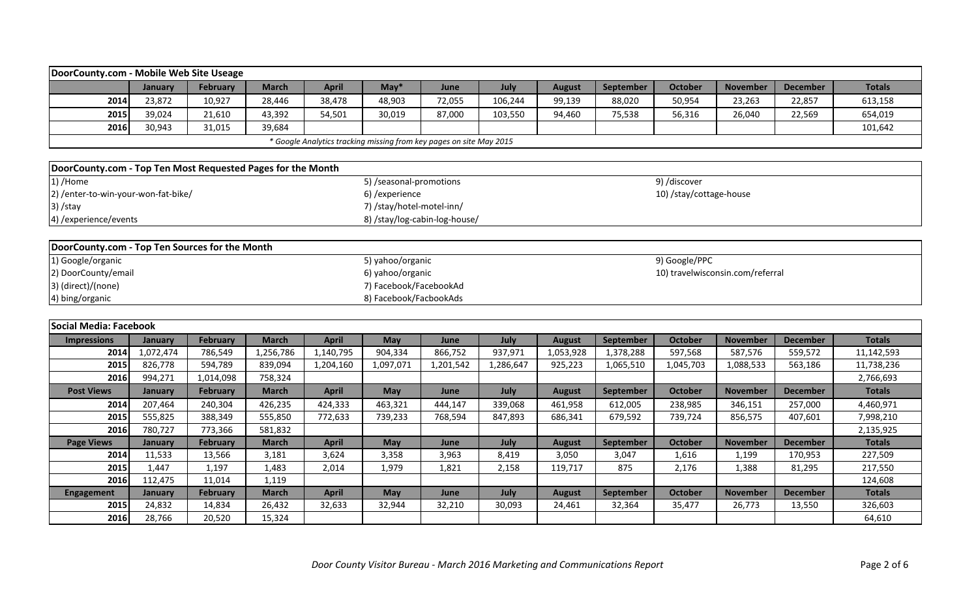|                                                                     | DoorCounty.com - Mobile Web Site Useage |          |              |              |                           |        |         |               |           |                         |                 |                 |               |  |
|---------------------------------------------------------------------|-----------------------------------------|----------|--------------|--------------|---------------------------|--------|---------|---------------|-----------|-------------------------|-----------------|-----------------|---------------|--|
|                                                                     | January                                 | February | <b>March</b> | <b>April</b> | $M$ ay*                   | June   | July    | <b>August</b> | September | <b>October</b>          | <b>November</b> | <b>December</b> | <b>Totals</b> |  |
| 2014                                                                | 23,872                                  | 10,927   | 28,446       | 38,478       | 48,903                    | 72,055 | 106,244 | 99,139        | 88,020    | 50,954                  | 23,263          | 22,857          | 613,158       |  |
| 2015                                                                | 39,024                                  | 21,610   | 43,392       | 54,501       | 30,019                    | 87,000 | 103,550 | 94,460        | 75,538    | 56,316                  | 26,040          | 22,569          | 654,019       |  |
| 2016                                                                | 30,943                                  | 31,015   | 39,684       |              |                           |        |         |               |           |                         |                 |                 | 101,642       |  |
| * Google Analytics tracking missing from key pages on site May 2015 |                                         |          |              |              |                           |        |         |               |           |                         |                 |                 |               |  |
|                                                                     |                                         |          |              |              |                           |        |         |               |           |                         |                 |                 |               |  |
| DoorCounty.com - Top Ten Most Requested Pages for the Month         |                                         |          |              |              |                           |        |         |               |           |                         |                 |                 |               |  |
| 1) /Home                                                            |                                         |          |              |              | 5) /seasonal-promotions   |        |         |               |           | 9) /discover            |                 |                 |               |  |
| 2) /enter-to-win-your-won-fat-bike/                                 |                                         |          |              |              | 6) /experience            |        |         |               |           | 10) /stay/cottage-house |                 |                 |               |  |
| $3)$ /stay                                                          |                                         |          |              |              | 7) /stay/hotel-motel-inn/ |        |         |               |           |                         |                 |                 |               |  |

| DoorCounty.com - Top Ten Sources for the Month |                        |                                  |
|------------------------------------------------|------------------------|----------------------------------|
| 1) Google/organic                              | 5) yahoo/organic       | 9) Google/PPC                    |
| 2) DoorCounty/email                            | 6) yahoo/organic       | 10) travelwisconsin.com/referral |
| 3) (direct)/(none)                             | 7) Facebook/FacebookAd |                                  |
| 4) bing/organic                                | 8) Facebook/FacbookAds |                                  |

8) /stay/log-cabin-log-house/

4) /experience/events

| lSocial Media: Facebook |                |                 |              |              |           |           |           |               |           |           |                 |                 |               |
|-------------------------|----------------|-----------------|--------------|--------------|-----------|-----------|-----------|---------------|-----------|-----------|-----------------|-----------------|---------------|
| <b>Impressions</b>      | <b>January</b> | February        | <b>March</b> | <b>April</b> | May       | June      | July      | <b>August</b> | September | October   | <b>November</b> | <b>December</b> | <b>Totals</b> |
| 2014                    | 1,072,474      | 786,549         | 1,256,786    | 1,140,795    | 904,334   | 866,752   | 937,971   | 1,053,928     | 1,378,288 | 597,568   | 587,576         | 559,572         | 11,142,593    |
| 2015                    | 826,778        | 594,789         | 839,094      | 1,204,160    | 1,097,071 | 1,201,542 | 1,286,647 | 925,223       | 1,065,510 | 1,045,703 | 1,088,533       | 563,186         | 11,738,236    |
| 2016                    | 994,271        | 1,014,098       | 758,324      |              |           |           |           |               |           |           |                 |                 | 2,766,693     |
| <b>Post Views</b>       | January        | <b>February</b> | <b>March</b> | <b>April</b> | May       | June      | July      | <b>August</b> | September | October   | <b>November</b> | <b>December</b> | <b>Totals</b> |
| 2014                    | 207,464        | 240,304         | 426,235      | 424,333      | 463,321   | 444,147   | 339,068   | 461,958       | 612,005   | 238,985   | 346,151         | 257,000         | 4,460,971     |
| 2015                    | 555,825        | 388,349         | 555,850      | 772,633      | 739,233   | 768,594   | 847,893   | 686,341       | 679,592   | 739,724   | 856,575         | 407,601         | 7,998,210     |
| 2016                    | 780,727        | 773,366         | 581,832      |              |           |           |           |               |           |           |                 |                 | 2,135,925     |
| <b>Page Views</b>       | <b>January</b> | <b>February</b> | <b>March</b> | <b>April</b> | May       | June      | July      | <b>August</b> | September | October   | <b>November</b> | <b>December</b> | <b>Totals</b> |
| 2014                    | 11,533         | 13,566          | 3,181        | 3,624        | 3,358     | 3,963     | 8,419     | 3,050         | 3,047     | 1,616     | 1,199           | 170,953         | 227,509       |
| 2015                    | L.447          | 1,197           | 1,483        | 2,014        | 1,979     | 1,821     | 2,158     | 119,717       | 875       | 2,176     | 1,388           | 81,295          | 217,550       |
| 2016                    | 112,475        | 11,014          | 1,119        |              |           |           |           |               |           |           |                 |                 | 124,608       |
| <b>Engagement</b>       | <b>January</b> | February        | <b>March</b> | <b>April</b> | May       | June      | July      | <b>August</b> | September | October   | <b>November</b> | <b>December</b> | <b>Totals</b> |
| 2015                    | 24,832         | 14,834          | 26,432       | 32,633       | 32,944    | 32,210    | 30,093    | 24,461        | 32,364    | 35,477    | 26,773          | 13,550          | 326,603       |
| 2016                    | 28,766         | 20,520          | 15,324       |              |           |           |           |               |           |           |                 |                 | 64,610        |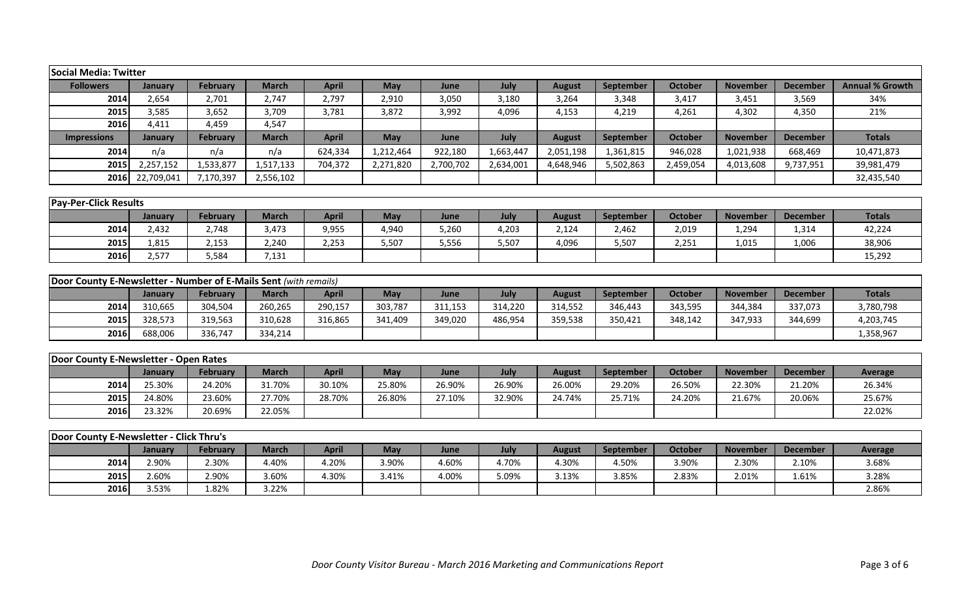| Social Media: Twitter                                            |                  |                          |                       |                       |              |               |               |                        |                    |                         |                 |                 |                        |
|------------------------------------------------------------------|------------------|--------------------------|-----------------------|-----------------------|--------------|---------------|---------------|------------------------|--------------------|-------------------------|-----------------|-----------------|------------------------|
| <b>Followers</b>                                                 | January          | <b>February</b>          | <b>March</b>          | <b>April</b>          | May          | June          | July          | <b>August</b>          | September          | <b>October</b>          | <b>November</b> | <b>December</b> | <b>Annual % Growth</b> |
| 2014                                                             | 2,654            | 2,701                    | 2,747                 | 2,797                 | 2,910        | 3,050         | 3,180         | 3,264                  | 3,348              | 3,417                   | 3,451           | 3,569           | 34%                    |
| 2015                                                             | 3,585            | 3,652                    | 3,709                 | 3,781                 | 3,872        | 3,992         | 4,096         | 4,153                  | 4,219              | 4,261                   | 4,302           | 4,350           | 21%                    |
| 2016                                                             | 4,411            | 4,459                    | 4,547                 |                       |              |               |               |                        |                    |                         |                 |                 |                        |
| <b>Impressions</b>                                               | January          | <b>February</b>          | <b>March</b>          | <b>April</b>          | May          | June          | July          | <b>August</b>          | <b>September</b>   | <b>October</b>          | <b>November</b> | <b>December</b> | <b>Totals</b>          |
| 2014                                                             | n/a              | n/a                      | n/a                   | 624,334               | 1,212,464    | 922,180       | 1,663,447     | 2,051,198              | 1,361,815          | 946,028                 | 1,021,938       | 668,469         | 10,471,873             |
| 2015                                                             | 2,257,152        | 1,533,877                | 1,517,133             | 704,372               | 2,271,820    | 2,700,702     | 2,634,001     | 4,648,946              | 5,502,863          | 2,459,054               | 4,013,608       | 9,737,951       | 39,981,479             |
| 2016                                                             | 22,709,041       | 7,170,397                | 2,556,102             |                       |              |               |               |                        |                    |                         |                 |                 | 32,435,540             |
|                                                                  |                  |                          |                       |                       |              |               |               |                        |                    |                         |                 |                 |                        |
| <b>Pay-Per-Click Results</b>                                     |                  |                          |                       |                       |              |               |               |                        |                    |                         |                 |                 |                        |
|                                                                  | January          | <b>February</b>          | <b>March</b>          | <b>April</b>          | May          | June          | July          | <b>August</b>          | September          | <b>October</b>          | <b>November</b> | <b>December</b> | <b>Totals</b>          |
| 2014                                                             | 2,432            | 2,748                    | 3,473                 | 9,955                 | 4,940        | 5,260         | 4,203         | 2,124                  | 2,462              | 2,019                   | 1,294           | 1,314           | 42,224                 |
| 2015                                                             | 1,815            | 2,153                    | 2,240                 | 2,253                 | 5,507        | 5,556         | 5,507         | 4,096                  | 5,507              | 2,251                   | 1,015           | 1,006           | 38,906                 |
| 2016                                                             | 2,577            | 5,584                    | 7,131                 |                       |              |               |               |                        |                    |                         |                 |                 | 15,292                 |
|                                                                  |                  |                          |                       |                       |              |               |               |                        |                    |                         |                 |                 |                        |
| Door County E-Newsletter - Number of E-Mails Sent (with remails) |                  |                          |                       |                       |              |               |               |                        |                    |                         |                 |                 |                        |
|                                                                  | January          | <b>February</b>          | <b>March</b>          | <b>April</b>          | May          | June          | July          | <b>August</b>          | September          | <b>October</b>          | <b>November</b> | <b>December</b> | <b>Totals</b>          |
| 2014                                                             | 310,665          | 304,504                  | 260,265               | 290,157               | 303,787      | 311,153       | 314,220       | 314,552                | 346,443            | 343,595                 | 344,384         | 337,073         | 3,780,798              |
| 2015                                                             | 328,573          | 319,563                  | 310,628               | 316,865               | 341,409      | 349,020       | 486,954       | 359,538                | 350,421            | 348,142                 | 347,933         | 344,699         | 4,203,745              |
| 2016                                                             | 688,006          | 336,747                  | 334,214               |                       |              |               |               |                        |                    |                         |                 |                 | 1,358,967              |
|                                                                  |                  |                          |                       |                       |              |               |               |                        |                    |                         |                 |                 |                        |
| Door County E-Newsletter - Open Rates                            |                  |                          |                       |                       |              |               |               |                        |                    |                         |                 |                 |                        |
|                                                                  | January          | <b>February</b>          | <b>March</b>          | <b>April</b>          | May          | June          | July          | <b>August</b>          | September          | <b>October</b>          | <b>November</b> | <b>December</b> | <b>Average</b>         |
| 2014                                                             | 25.30%           | 24.20%                   | 31.70%                | 30.10%                | 25.80%       | 26.90%        | 26.90%        | 26.00%                 | 29.20%             | 26.50%                  | 22.30%          | 21.20%          | 26.34%                 |
| 2015                                                             | 24.80%           | 23.60%                   | 27.70%                | 28.70%                | 26.80%       | 27.10%        | 32.90%        | 24.74%                 | 25.71%             | 24.20%                  | 21.67%          | 20.06%          | 25.67%                 |
| 2016                                                             | 23.32%           | 20.69%                   | 22.05%                |                       |              |               |               |                        |                    |                         |                 |                 | 22.02%                 |
|                                                                  |                  |                          |                       |                       |              |               |               |                        |                    |                         |                 |                 |                        |
| Door County E-Newsletter - Click Thru's                          |                  |                          |                       |                       |              |               |               |                        |                    |                         |                 |                 |                        |
| 2014                                                             | January<br>2.90% | <b>February</b><br>2.30% | <b>March</b><br>4.40% | <b>April</b><br>4.20% | May<br>3.90% | June<br>4.60% | July<br>4.70% | <b>August</b><br>4.30% | September<br>4.50% | <b>October</b><br>3.90% | <b>November</b> | <b>December</b> | Average                |
|                                                                  |                  |                          |                       |                       |              |               |               |                        |                    |                         | 2.30%           | 2.10%           | 3.68%                  |
| 2015                                                             | 2.60%            | 2.90%                    | 3.60%                 | 4.30%                 | 3.41%        | 4.00%         | 5.09%         | 3.13%                  | 3.85%              | 2.83%                   | 2.01%           | 1.61%           | 3.28%                  |
| 2016                                                             | 3.53%            | 1.82%                    | 3.22%                 |                       |              |               |               |                        |                    |                         |                 |                 | 2.86%                  |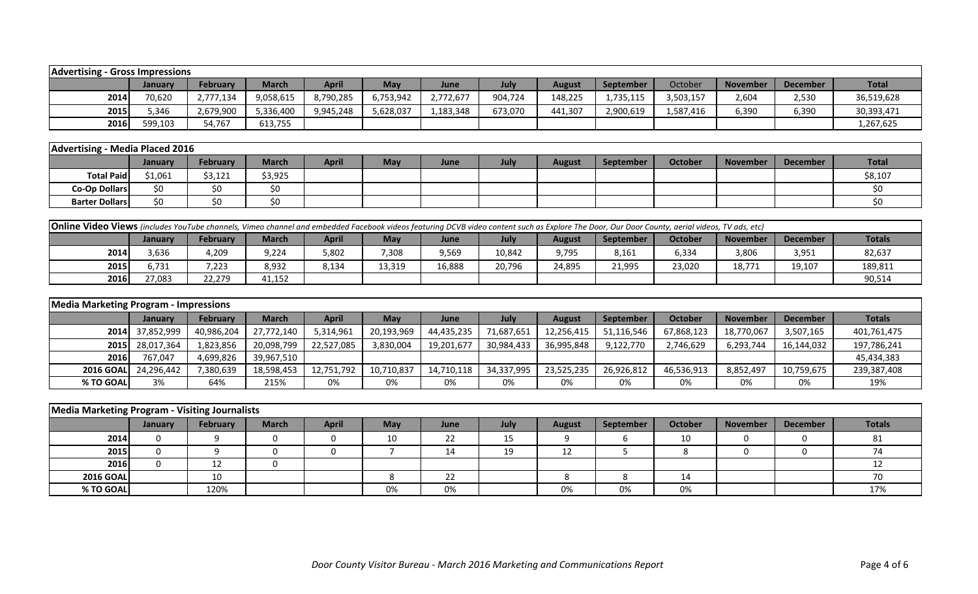| <b>Advertising - Gross Impressions</b> |         |                 |              |           |            |           |         |               |                  |           |                 |                 |              |
|----------------------------------------|---------|-----------------|--------------|-----------|------------|-----------|---------|---------------|------------------|-----------|-----------------|-----------------|--------------|
|                                        | January | <b>February</b> | <b>March</b> | April     | <b>May</b> | June      | July    | <b>August</b> | <b>September</b> | October   | <b>November</b> | <b>December</b> | <b>Total</b> |
| 2014                                   | 70.620  | 2,777,134       | 9,058,615    | 8,790,285 | 6,753,942  | 2,772,677 | 904,724 | 148,225       | 1,735,115        | 3,503,157 | 2,604           | 2,530           | 36,519,628   |
| 2015                                   | 5,346   | 2,679,900       | 5,336,400    | 9,945,248 | 5,628,037  | 1,183,348 | 673,070 | 441,307       | 2,900,619        | 587,416.  | 6,390           | 6,390           | 30,393,471   |
| 2016                                   | 599,103 | 54,767          | 613,755      |           |            |           |         |               |                  |           |                 |                 | 1,267,625    |

| Advertising -         | - Media Placed 2016 |                 |              |              |            |      |      |        |                  |         |                 |          |              |
|-----------------------|---------------------|-----------------|--------------|--------------|------------|------|------|--------|------------------|---------|-----------------|----------|--------------|
|                       | <b>January</b>      | <b>February</b> | <b>March</b> | <b>April</b> | <b>May</b> | June | July | August | <b>September</b> | October | <b>November</b> | December | <b>Total</b> |
| <b>Total Paid</b>     | \$1,061             | \$3,121         | \$3,925      |              |            |      |      |        |                  |         |                 |          | \$8,107      |
| Co-Op Dollars         | ¢٨                  |                 |              |              |            |      |      |        |                  |         |                 |          |              |
| <b>Barter Dollars</b> |                     |                 |              |              |            |      |      |        |                  |         |                 |          |              |

| <b>Online Video Views</b> (includes YouTube channels, Vimeo channel and embedded Facebook videos featuring DCVB video content such as Explore The Door, Our Door County, aerial videos, TV ads, etc) |         |                 |              |       |            |        |        |        |                  |         |                 |                 |               |
|------------------------------------------------------------------------------------------------------------------------------------------------------------------------------------------------------|---------|-----------------|--------------|-------|------------|--------|--------|--------|------------------|---------|-----------------|-----------------|---------------|
|                                                                                                                                                                                                      | January | <b>February</b> | <b>March</b> | April | <b>May</b> | June   | July   | August | <b>September</b> | October | <b>November</b> | <b>December</b> | <b>Totals</b> |
| 2014                                                                                                                                                                                                 | ,636    | 4,209           | 9,224        | 5,802 | 308,       | 9,569  | 10,842 | 9,795  | 8,161            | 6,334   | 3,806           | 3,951           | 82,637        |
| 2015                                                                                                                                                                                                 | 5.731   | 7,223           | 8,932        | 8,134 | 13,319     | 16,888 | 20.796 | 24,895 | 21,995           | 23,020  | 18,771          | 19,107          | 189,811       |
| <b>2016</b>                                                                                                                                                                                          | 27,083  | 22,279          | 41,152       |       |            |        |        |        |                  |         |                 |                 | 90,514        |

| <b>Media Marketing Program - Impressions</b> |                      |            |              |              |            |            |            |               |            |            |                 |                 |               |
|----------------------------------------------|----------------------|------------|--------------|--------------|------------|------------|------------|---------------|------------|------------|-----------------|-----------------|---------------|
|                                              | <b>January</b>       | February   | <b>March</b> | <b>April</b> | May        | June       | July       | <b>August</b> | September  | October    | <b>November</b> | <b>December</b> | <b>Totals</b> |
|                                              | 2014 37,852,999      | 40,986,204 | 27,772,140   | 5,314,961    | 20,193,969 | 44,435,235 | 71,687,651 | 12,256,415    | 51,116,546 | 67,868,123 | 18,770,067      | 3,507,165       | 401,761,475   |
|                                              | 2015 28,017,364      | 1,823,856  | 20,098,799   | 22,527,085   | 3,830,004  | 19,201,677 | 30,984,433 | 36,995,848    | 9,122,770  | 2,746,629  | 6,293,744       | 16,144,032      | 197,786,241   |
| <b>2016</b>                                  | 767.047              | 4,699,826  | 39,967,510   |              |            |            |            |               |            |            |                 |                 | 45,434,383    |
|                                              | 2016 GOAL 24,296,442 | 7,380,639  | 18,598,453   | 12,751,792   | 10,710,837 | 14,710,118 | 34,337,995 | 23,525,235    | 26,926,812 | 46,536,913 | 8,852,497       | 10,759,675      | 239,387,408   |
| % TO GOAL                                    | 3%                   | 64%        | 215%         | 0%           | 0%         | 0%         | 0%         | 0%            | 0%         | 0%         | 0%              | 0%              | 19%           |

| Media Marketing Program - Visiting Journalists |         |          |              |              |            |      |      |               |           |                |                 |                 |               |
|------------------------------------------------|---------|----------|--------------|--------------|------------|------|------|---------------|-----------|----------------|-----------------|-----------------|---------------|
|                                                | January | February | <b>March</b> | <b>April</b> | <b>May</b> | June | July | <b>August</b> | September | <b>October</b> | <b>November</b> | <b>December</b> | <b>Totals</b> |
| 2014                                           |         |          |              |              | 10         | 22   | ᅩ    |               |           | 10             |                 |                 | 81            |
| 2015                                           |         |          |              |              |            | 14   | 19   | 12            |           |                |                 |                 |               |
| 2016                                           |         | 12       |              |              |            |      |      |               |           |                |                 |                 |               |
| <b>2016 GOAL</b>                               |         | 10       |              |              |            | 22   |      |               |           | 14             |                 |                 |               |
| % TO GOAL                                      |         | 120%     |              |              | 0%         | 0%   |      | 0%            | 0%        | 0%             |                 |                 | 17%           |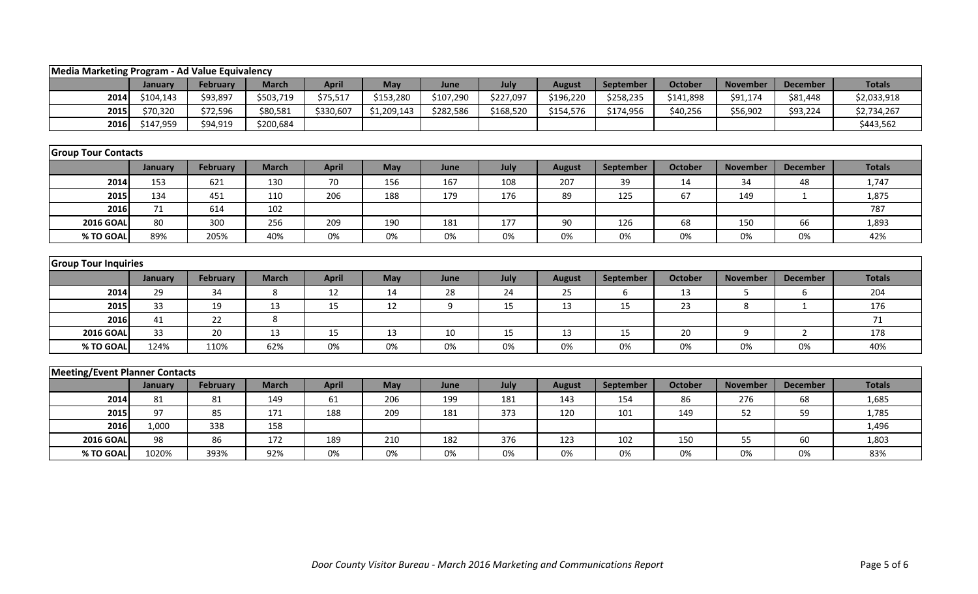| Media Marketing Program - Ad Value Equivalency |                             |                 |              |              |             |           |           |               |           |                |                 |                 |               |  |
|------------------------------------------------|-----------------------------|-----------------|--------------|--------------|-------------|-----------|-----------|---------------|-----------|----------------|-----------------|-----------------|---------------|--|
|                                                | January                     | February        | <b>March</b> | <b>April</b> | May         | June      | July      | <b>August</b> | September | <b>October</b> | <b>November</b> | <b>December</b> | <b>Totals</b> |  |
| 2014                                           | \$104,143                   | \$93,897        | \$503,719    | \$75,517     | \$153,280   | \$107,290 | \$227,097 | \$196,220     | \$258,235 | \$141,898      | \$91,174        | \$81,448        | \$2,033,918   |  |
| 2015                                           | \$70,320                    | \$72,596        | \$80,581     | \$330,607    | \$1,209,143 | \$282,586 | \$168,520 | \$154,576     | \$174,956 | \$40,256       | \$56,902        | \$93,224        | \$2,734,267   |  |
| 2016                                           | \$147,959                   | \$94,919        | \$200,684    |              |             |           |           |               |           |                |                 |                 | \$443,562     |  |
|                                                |                             |                 |              |              |             |           |           |               |           |                |                 |                 |               |  |
| <b>Group Tour Contacts</b>                     |                             |                 |              |              |             |           |           |               |           |                |                 |                 |               |  |
|                                                | January                     | February        | <b>March</b> | <b>April</b> | May         | June      | July      | <b>August</b> | September | <b>October</b> | <b>November</b> | <b>December</b> | <b>Totals</b> |  |
| 2014                                           | 153                         | 621             | 130          | 70           | 156         | 167       | 108       | 207           | 39        | 14             | 34              | 48              | 1,747         |  |
| 2015                                           | 134                         | 451             | 110          | 206          | 188         | 179       | 176       | 89            | 125       | 67             | 149             | $\mathbf{1}$    | 1,875         |  |
| 2016                                           | 71                          | 614             | 102          |              |             |           |           |               |           |                |                 |                 | 787           |  |
| <b>2016 GOAL</b>                               | 80                          | 300             | 256          | 209          | 190         | 181       | 177       | 90            | 126       | 68             | 150             | 66              | 1,893         |  |
| % TO GOAL                                      | 89%                         | 205%            | 40%          | 0%           | 0%          | 0%        | 0%        | 0%            | 0%        | 0%             | 0%              | 0%              | 42%           |  |
|                                                |                             |                 |              |              |             |           |           |               |           |                |                 |                 |               |  |
|                                                | <b>Group Tour Inquiries</b> |                 |              |              |             |           |           |               |           |                |                 |                 |               |  |
|                                                | January                     | February        | <b>March</b> | <b>April</b> | May         | June      | July      | <b>August</b> | September | <b>October</b> | <b>November</b> | <b>December</b> | <b>Totals</b> |  |
| 2014                                           | 29                          | 34              | 8            | 12           | 14          | 28        | 24        | 25            | 6         | 13             | 5               | 6               | 204           |  |
| 2015                                           | 33                          | 19              | 13           | 15           | 12          | $9\,$     | 15        | 13            | 15        | 23             | 8               | $\mathbf{1}$    | 176           |  |
| 2016                                           | 41                          | 22              | 8            |              |             |           |           |               |           |                |                 |                 | 71            |  |
| <b>2016 GOAL</b>                               | 33                          | 20              | 13           | 15           | 13          | 10        | 15        | 13            | 15        | 20             | 9               | $\overline{2}$  | 178           |  |
| % TO GOAL                                      | 124%                        | 110%            | 62%          | 0%           | 0%          | 0%        | 0%        | 0%            | 0%        | 0%             | 0%              | 0%              | 40%           |  |
|                                                |                             |                 |              |              |             |           |           |               |           |                |                 |                 |               |  |
| <b>Meeting/Event Planner Contacts</b>          |                             |                 |              |              |             |           |           |               |           |                |                 |                 |               |  |
|                                                | January                     | <b>February</b> | <b>March</b> | <b>April</b> | May         | June      | July      | <b>August</b> | September | <b>October</b> | <b>November</b> | <b>December</b> | <b>Totals</b> |  |
| 2014                                           | 81                          | 81              | 149          | 61           | 206         | 199       | 181       | 143           | 154       | 86             | 276             | 68              | 1,685         |  |
| 2015                                           | 97                          | 85              | 171          | 188          | 209         | 181       | 373       | 120           | 101       | 149            | 52              | 59              | 1,785         |  |
| 2016                                           | 1,000                       | 338             | 158          |              |             |           |           |               |           |                |                 |                 | 1,496         |  |
| <b>2016 GOAL</b>                               | 98                          | 86              | 172          | 189          | 210         | 182       | 376       | 123           | 102       | 150            | 55              | 60              | 1,803         |  |
| % TO GOAL                                      | 1020%                       | 393%            | 92%          | 0%           | 0%          | 0%        | 0%        | 0%            | 0%        | 0%             | 0%              | 0%              | 83%           |  |